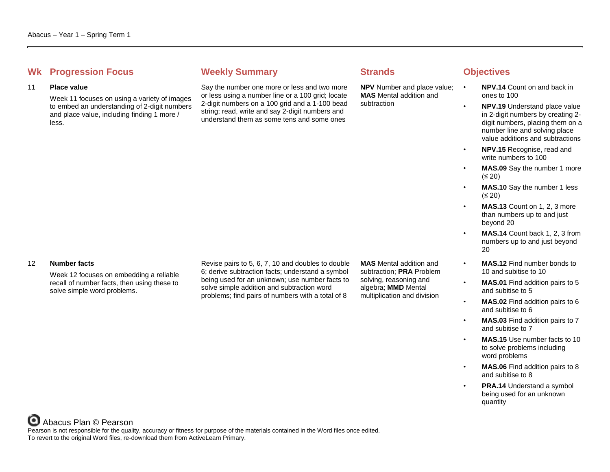# **Whenever Summary Weekly Summary Strands Objectives**

### 11 **Place value**

Week 11 focuses on using a variety of images to embed an understanding of 2-digit numbers and place value, including finding 1 more / less.

Say the number one more or less and two more or less using a number line or a 100 grid; locate 2-digit numbers on a 100 grid and a 1-100 bead string; read, write and say 2-digit numbers and understand them as some tens and some ones

**NPV** Number and place value; **MAS** Mental addition and subtraction

- **NPV.14** Count on and back in ones to 100
	- **NPV.19** Understand place value in 2-digit numbers by creating 2 digit numbers, placing them on a number line and solving place value additions and subtractions
- **NPV.15** Recognise, read and write numbers to 100
- **MAS.09** Say the number 1 more (≤ 20)
- **MAS.10** Say the number 1 less (≤ 20)
- **MAS.13** Count on 1, 2, 3 more than numbers up to and just beyond 20
- **MAS.14** Count back 1, 2, 3 from numbers up to and just beyond 20
- **MAS.12** Find number bonds to 10 and subitise to 10
- **MAS.01** Find addition pairs to 5 and subitise to 5
- **MAS.02** Find addition pairs to 6 and subitise to 6
- **MAS.03** Find addition pairs to 7 and subitise to 7
- **MAS.15** Use number facts to 10 to solve problems including word problems
- **MAS.06** Find addition pairs to 8 and subitise to 8
- **PRA.14** Understand a symbol being used for an unknown quantity

### 12 **Number facts**

Week 12 focuses on embedding a reliable recall of number facts, then using these to solve simple word problems.

Revise pairs to 5, 6, 7, 10 and doubles to double 6; derive subtraction facts; understand a symbol being used for an unknown; use number facts to solve simple addition and subtraction word problems; find pairs of numbers with a total of 8

**MAS** Mental addition and subtraction; **PRA** Problem solving, reasoning and algebra; **MMD** Mental multiplication and division

Abacus Plan © Pearson Pearson is not responsible for the quality, accuracy or fitness for purpose of the materials contained in the Word files once edited. To revert to the original Word files, re-download them from ActiveLearn Primary.